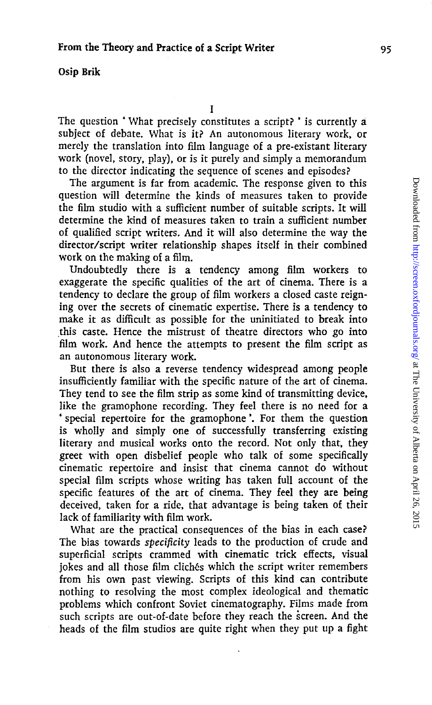## Osip Brik

The question \* What precisely constitutes a script? ' is currently a subject of debate. What is it? An autonomous literary work, or merely the translation into film language of a pre-existant literary work (novel, story, play), or is it purely and simply a memorandum to the director indicating the sequence of scenes and episodes?

The argument is far from academic. The response given to this question will determine the kinds of measures taken to provide the film studio with a sufficient number of suitable scripts. It will determine the kind of measures taken to train a sufficient number of qualified script writers. And it will also determine the way the director/script writer relationship shapes itself in their combined work on the making of a film.

Undoubtedly there is a tendency among film workers to exaggerate the specific qualities of the art of cinema. There is a tendency to declare the group of film workers a closed caste reigning over the secrets of cinematic expertise. There is a tendency to make it as difficult as possible for the uninitiated to break into this caste. Hence the mistrust of theatre directors who go into film work. And hence the attempts to present the film script as an autonomous literary work.

But there is also a reverse tendency widespread among people insufficiently familiar with the specific nature of the art of cinema. They tend to see the film strip as some kind of transmitting device, like the gramophone recording. They feel there is no need for a ' special repertoire for the gramophone'. For them the question is wholly and simply one of successfully transferring existing literary and musical works onto the record. Not only that, they greet with open disbelief people who talk of some specifically cinematic repertoire and insist that cinema cannot do without special film scripts whose writing has taken full account of the specific features of the art of cinema. They feel they are being deceived, taken for a ride, that advantage is being taken of their lack of familiarity with film work.

What are the practical consequences of the bias in each case? The bias towards *specificity* leads to the production of crude and superficial scripts crammed with cinematic trick effects, visual jokes and all those film clichés which the script writer remembers from his own past viewing. Scripts of this kind can contribute nothing to resolving the most complex ideological and thematic problems which confront Soviet cinematography. Films made from such scripts are out-of-date before they reach the screen. And the heads of the film studios are quite right when they put up a fight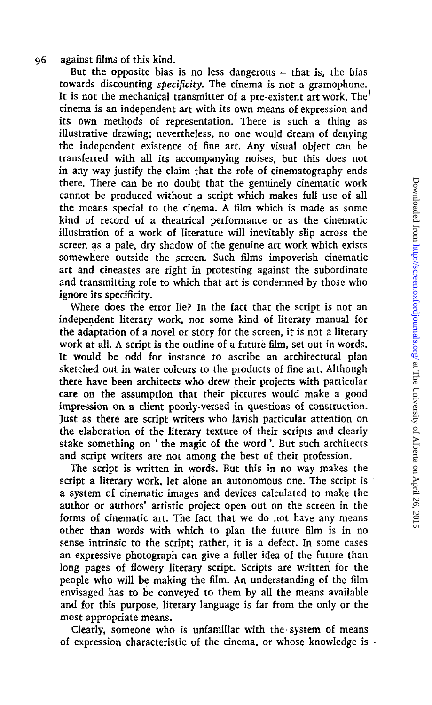## 96 against films of this kind.

But the opposite bias is no less dangerous  $-$  that is, the bias towards discounting *specificity.* The cinema is not a gramophone. It is not the mechanical transmitter of a pre-existent art work. The<sup> $\dagger$ </sup> cinema is an independent art with its own means of expression and its own methods of representation. There is such a thing as illustrative drawing; nevertheless, no one would dream of denying the independent existence of fine art. Any visual object can be transferred with all its accompanying noises, but this does not in any way justify the claim that the role of cinematography ends cannot be produced without a script which makes full use of all the means special to the cinema. A film which is made as some kind of record of a theatrical performance or as the cinematic illustration of a work of literature will inevitably slip across the screen as a pale, dry shadow of the genuine art work which exists somewhere outside the screen. Such films impoverish cinematic art and cineastes are right in protesting against the subordinate and transmitting role to which that art is condemned by those who ignore its specificity.

there. There can be no doubt that the genuinely cinematic work<br>
cannot be produced without a script which in makes full use of all<br>the means special to the cinema. A film which is made as some<br>
kind of record of a relatio Where does the error lie? In the fact that the script is not an independent literary work, nor some kind of literary manual for • the adaptation of a novel or story for the screen, it is not a literary work at all. A script is the outline of a future film, set out in words. It would be odd for instance to ascribe an architectural plan sketched out in water colours to the products of fine art. Although there have been architects who drew their projects with particular care on the assumption that their pictures would make a good impression on a client poorly-versed in questions of construction. Just as there are script writers who lavish particular attention on *''* the elaboration of the literary texture of their scripts and clearly j stake something on ' the magic of the word'. But such architects and script writers are not among the best of their profession.

The script is written in words. But this in no way makes the script a literary work, let alone an autonomous one. The script is a system of cinematic images and devices calculated to make the author or authors' artistic project open out on the screen in the forms of cinematic art. The fact that we do not have any means other than words with which to plan the future film is in no sense intrinsic to the script; rather, it is a defect. In some cases an expressive photograph can give a fuller idea of the future than long pages of flowery literary script. Scripts are written for the people who will be making the film. An understanding of the film envisaged has to be conveyed to them by all the means available | and for this purpose, literary language is far from the only or the most appropriate means. there. There can be no doubt that the genuine] viewards to the cinema, a film which is made as some kind of record of a theatrical performance or as the cinematic illustration of a work of literature will inevialiby slip a

Clearly, someone who is unfamiliar with the system of means j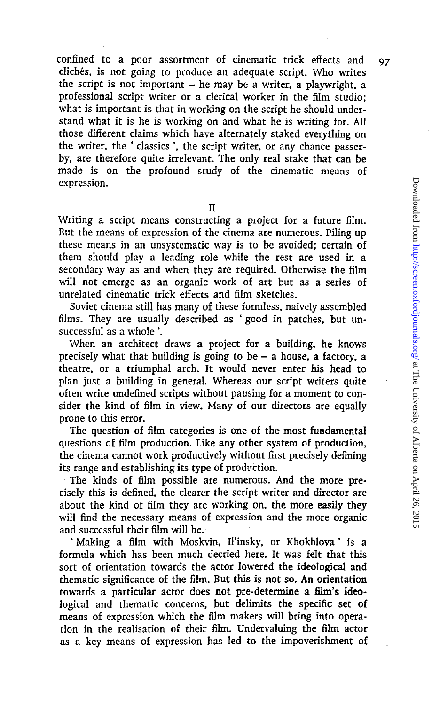confined to a poor assortment of cinematic trick effects and 97 cliches, is not going to produce an adequate script. Who writes the script is not important  $-$  he may be a writer, a playwright, a professional script writer or a clerical worker in the film studio; what is important is that in working on the script he should understand what it is he is working on and what he is writing for. All those different claims which have alternately staked everything on the writer, the ' classics', the script writer, or any chance passerby, are therefore quite irrelevant. The only real stake that can be made is on the profound study of the cinematic means of expression.

II

Writing a script means constructing a project for a future film. But the means of expression of the cinema are numerous. Piling up these means in an unsystematic way is to be avoided; certain of them should play a leading role while the rest are used in a secondary way as and when they are required. Otherwise the film will not emerge as an organic work of art but as a series of unrelated cinematic trick effects and film sketches.

Soviet cinema still has many of these formless, naively assembled films. They are usually described as ' good in patches, but unsuccessful as a whole'.

When an architect draws a project for a building, he knows precisely what that building is going to be  $-$  a house, a factory, a theatre, or a triumphal arch. It would never enter his head to plan just a building in general. Whereas our script writers quite often write undefined scripts without pausing for a moment to consider the kind of film in view. Many of our directors are equally prone to this error.

The question of film categories is one of the most fundamental questions of film production. Like any other system of production, the cinema cannot work productively without first precisely defining its range and establishing its type of production.

The kinds of film possible are numerous. And the more precisely this is defined, the clearer the script writer and director are about the kind of film they are working on, the more easily they will find the necessary means of expression and the more organic and successful their film will be.

' Making a film with Moskvin, Il'insky, or Khokhlova' is a formula which has been much decried here. It was felt that this sort of orientation towards the actor lowered the ideological and thematic significance of the film. But this is not so. An orientation towards a particular actor does not pre-determine a film's ideological and thematic concerns, but delimits the specific set of means of expression which the film makers will bring into operation in the realisation of their film. Undervaluing the film actor as a key means of expression has led to the impoverishment of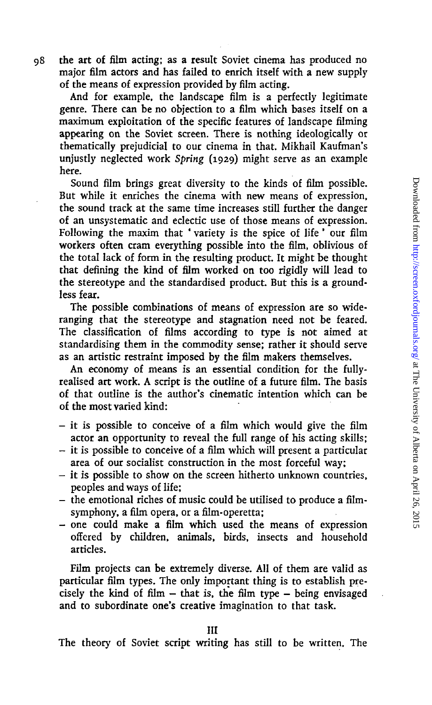98 the art of film acting; as a result Soviet cinema has produced no major film actors and has failed to enrich itself with a new supply of the means of expression provided by film acting.

And for example, the landscape film is a perfectly legitimate genre. There can be no objection to a film which bases itself on a maximum exploitation of the specific features of landscape filming appearing on the Soviet screen. There is nothing ideologically or thematically prejudicial to our cinema in that. Mikhail Kaufman's unjustly neglected work *Spring* (1929) might serve as an example here.

Sound film brings great diversity to the kinds of film possible. But while it enriches the cinema with new means of expression, the sound track at the same time increases still further the danger of an unsystematic and eclectic use of those means of expression. Following the maxim that ' variety is the spice of life ' our film workers often cram everything possible into the film, oblivious of the total lack of form in the resulting product. It might be thought that defining the kind of film worked on too rigidly will lead to the stereotype and the standardised product. But this is a groundless fear.

The possible combinations of means of expression are so wideranging that the stereotype and stagnation need not be feared. The classification of films according to type is not aimed at standardising them in the commodity sense; rather it should serve as an artistic restraint imposed by the film makers themselves.

An economy of means is an essential condition for the fullyrealised art work. A script is the outline of a future film. The basis of that outline is the author's cinematic intention which can be of the most varied kind:

- $-$  it is possible to conceive of a film which would give the film actor an opportunity to reveal the full range of his acting skills;
- $-$  it is possible to conceive of a film which will present a particular area of our socialist construction in the most forceful way;
- $-$  it is possible to show on the screen hitherto unknown countries, peoples and ways of life;
- the emotional riches of music could be utilised to produce a filmsymphony, a film opera, or a film-operetta;
- one could make a film which used the means of expression offered by children, animals, birds, insects and household articles.

Film projects can be extremely diverse. All of them are valid as particular film types. The only important thing is to establish precisely the kind of film  $-$  that is, the film type  $-$  being envisaged and to subordinate one's creative imagination to that task.

Ill

The theory of Soviet script writing has still to be written. The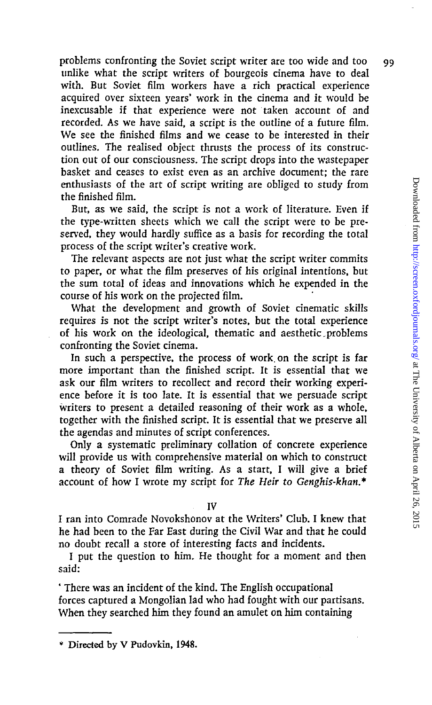problems confronting the Soviet script writer are too wide and too 99 unlike what the script writers of bourgeois cinema have to deal with. But Soviet film workers have a rich practical experience acquired over sixteen years' work in the cinema and it would be inexcusable if that experience were not taken account of and recorded. As we have said, a script is the outline of a future film. We see the finished films and we cease to be interested in their outlines. The realised object thrusts the process of its construction out of our consciousness. The script drops into the wastepaper basket and ceases to exist even as an archive document; the rare enthusiasts of the art of script writing are obliged to study from the finished film.

But, as we said, the script is not a work of literature. Even if the type-written sheets which we call the script were to be preserved, they would hardly suffice as a basis for recording the total process of the script writer's creative work.

The relevant aspects are not just what the script writer commits to paper, or what the film preserves of his original intentions, but the sum total of ideas and innovations which he expended in the course of his work on the projected film.

What the development and growth of Soviet cinematic skills requires is not the script writer's notes, but the total experience of his work on the ideological, thematic and aesthetic problems confronting the Soviet cinema.

In such a perspective, the process of work, on the script is far more important than the finished script. It is essential that we ask our film writers to recollect and record their working experience before it is too late. It is essential that we persuade script writers to present a detailed reasoning of their work as a whole, together with the finished script. It is essential that we preserve all the agendas and minutes of script conferences.

Only a systematic preliminary collation of concrete experience will provide us with comprehensive material on which to construct a theory of Soviet film writing. As a start, I will give a brief account of how I wrote my script for *The Heir to Genghis-khan.\**

IV

I ran into Comrade Novokshonov at the Writers' Club. I knew that he had been to the Far East during the Civil War and that he could no doubt recall a store of interesting facts and incidents.

I put the question to him. He thought for a moment and then said:

' There was an incident of the kind. The English occupational forces captured a Mongolian lad who had fought with our partisans. When they searched him they found an amulet on him containing

<sup>\*</sup> Directed by V Pudovkin, 1948.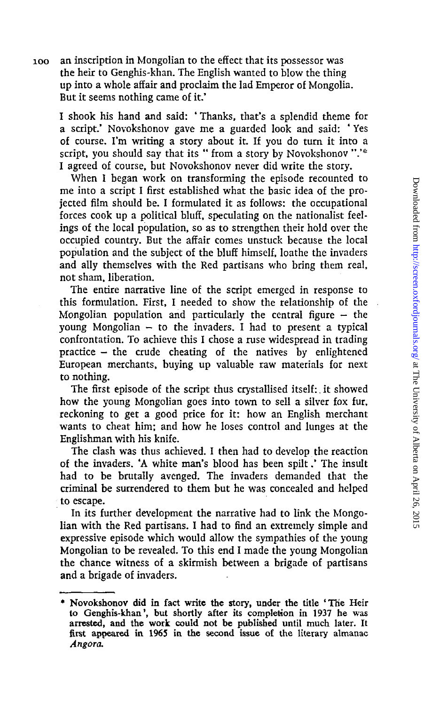ioo an inscription in Mongolian to the effect that its possessor was the heir to Genghis-khan. The English wanted to blow the thing up into a whole affair and proclaim the lad Emperor of Mongolia. But it seems nothing came of it.'

I shook his hand and said: ' Thanks, that's a splendid theme for a script.' Novokshonov gave me a guarded look and said: ' Yes of course. I'm writing a story about it. If you do turn it into a script, you should say that its " from a story by Novokshonov ".'\* I agreed of course, but Novokshonov never did write the story.

When I began work on transforming the episode recounted to me into a script I first established what the basic idea of the projected film should be. I formulated it as follows: the occupational forces cook up a political bluff, speculating on the nationalist feelings of the local population, so as to strengthen their hold over the occupied country. But the affair comes unstuck because the local population and the subject of the bluff himself, loathe the invaders and ally themselves with the Red partisans who bring them real, not sham, liberation.

The entire narrative line of the script emerged in response to this formulation. First, I needed to show the relationship of the Mongolian population and particularly the central figure  $-$  the young Mongolian  $-$  to the invaders. I had to present a typical confrontation. To achieve this I chose a ruse widespread in trading practice — the crude cheating of the natives by enlightened European merchants, buying up valuable raw materials for next to nothing.

The first episode of the script thus crystallised itself:. it showed how the young Mongolian goes into town to sell a silver fox fur, reckoning to get a good price for it: how an English merchant wants to cheat him; and how he loses control and lunges at the Englishman with his knife.

The clash was thus achieved. I then had to develop the reaction of the invaders. 'A white man's blood has been spilt.' The insult had to be brutally avenged. The invaders demanded that the criminal be surrendered to them but he was concealed and helped to escape.

In its further development the narrative had to link the Mongolian with the Red partisans. I had to find an extremely simple and expressive episode which would allow the sympathies of the young Mongolian to be revealed. To this end I made the young Mongolian the chance witness of a skirmish between a brigade of partisans and a brigade of invaders.

<sup>\*</sup> Novokshonov did in fact write the story, under the title "The Heir to Genghis-khan', but shortly after its completion in 1937 he was arrested, and the work could not be published until much later. It first appeared in 1965 in the second issue of the literary almanac *Angora.*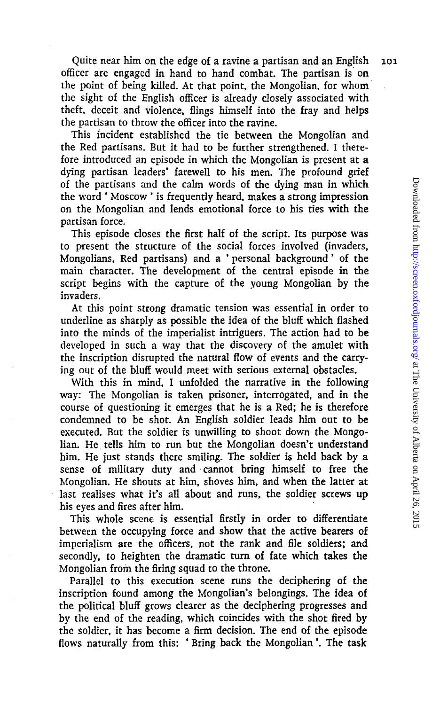Quite near him on the edge of a ravine a partisan and an English 101 officer are engaged in hand to hand combat. The partisan is on the point of being killed. At that point, the Mongolian, for whom the sight of the English officer is already closely associated with theft, deceit and violence, flings himself into the fray and helps the partisan to throw the officer into the ravine.

This incident established the tie between the Mongolian and the Red partisans. But it had to be further strengthened. I therefore introduced an episode in which the Mongolian is present at a dying partisan leaders' farewell to his men. The profound grief of the partisans and the calm words of the dying man in which the word ' Moscow' is frequently heard, makes a strong impression on the Mongolian and lends emotional force to his ties with the partisan force.

This episode closes the first half of the script. Its purpose was to present the structure of the social forces involved (invaders, Mongolians, Red partisans) and a ' personal background' of the main character. The development of the central episode in the script begins with the capture of the young Mongolian by the invaders.

At this point strong dramatic tension was essential in order to underline as sharply as possible the idea of the bluff which flashed into the minds of the imperialist intriguers. The action had to be developed in such a way that the discovery of the amulet with the inscription disrupted the natural flow of events and the carrying out of the bluff would meet with serious external obstacles.

With this in mind, I unfolded the narrative in the following way: The Mongolian is taken prisoner, interrogated, and in the course of questioning it emerges that he is a Red; he is therefore condemned to be shot. An English soldier leads him out to be executed. But the soldier is unwilling to shoot down the Mongolian. He tells him to run but the Mongolian doesn't understand him. He just stands there smiling. The soldier is held back by a sense of military duty and cannot bring himself to free the Mongolian. He shouts at him, shoves him, and when the latter at last realises what it's all about and runs, the soldier screws up his eyes and fires after him.

This whole scene is essential firstly in order to differentiate between the occupying force and show that the active bearers of imperialism are the officers, not the rank and file soldiers; and secondly, to heighten the dramatic turn of fate which takes the Mongolian from the firing squad to the throne.

Parallel to this execution scene runs the deciphering of the inscription found among the Mongolian's belongings. The idea of the political bluff grows clearer as the deciphering progresses and by the end of the reading, which coincides with the shot fired by the soldier, it has become a firm decision. The end of the episode flows naturally from this: ' Bring back the Mongolian'. The task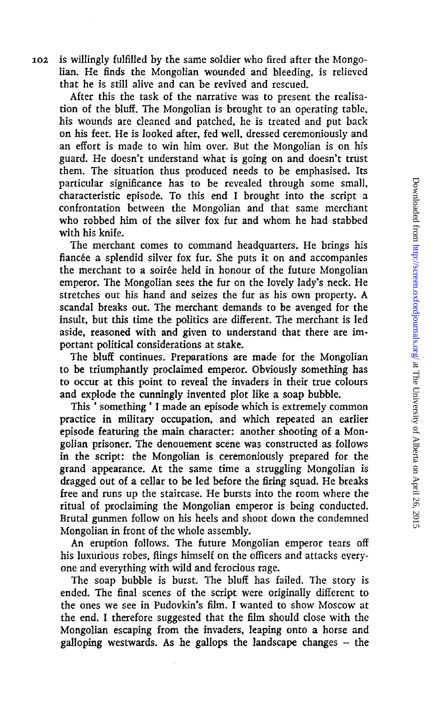102 is willingly fulfilled by the same soldier who fired after the Mongolian. He finds the Mongolian wounded and bleeding, is relieved that he is still alive and can be revived and rescued.

After this the task of the narrative was to present the realisation of the bluff. The Mongolian is brought to an operating table, his wounds are cleaned and patched, he is treated and put back on his feet. He is looked after, fed well, dressed ceremoniously and an effort is made to win him over. But the Mongolian is on his guard. He doesn't understand what is going on and doesn't trust them. The situation thus produced needs to be emphasised. Its particular significance has to be revealed through some small, characteristic episode. To this end I brought into the script a confrontation between the Mongolian and that same merchant who robbed him of the silver fox fur and whom he had stabbed with his knife.

The merchant comes to command headquarters. He brings his fiancée a splendid silver fox fur. She puts it on and accompanies the merchant to a soirée held in honour of the future Mongolian emperor. The Mongolian sees the fur on the lovely lady's neck. He stretches out his hand and seizes the fur as his own property. A scandal breaks out. The merchant demands to be avenged for the insult, but this time the politics are different. The merchant is led aside, reasoned with and given to understand that there are important political considerations at stake.

The bluff continues. Preparations are made for the Mongolian to be triumphantly proclaimed emperor. Obviously something has to occur at this point to reveal the invaders in their true colours and explode the cunningly invented plot like a soap bubble.

This ' something ' I made an episode which is extremely common practice in military occupation, and which repeated an earlier episode featuring the main character: another shooting of a Mongolian prisoner. The denouement scene was constructed as follows in the script: the Mongolian is ceremoniously prepared for the grand appearance. At the same time a struggling Mongolian is dragged out of a cellar to be led before the firing squad. He breaks free and runs up the staircase. He bursts into the room where the ritual of proclaiming the Mongolian emperor is being conducted. Brutal gunmen follow on his heels and shoot down the condemned Mongolian in front of the whole assembly.

An eruption follows. The future Mongolian emperor tears off his luxurious robes, flings himself on the officers and attacks everyone and everything with wild and ferocious rage.

The soap bubble is burst. The bluff has failed. The story is ended. The final scenes of the script were originally different to the ones we see in Pudovkin's film. I wanted to show Moscow at the end. I therefore suggested that the film should close with the Mongolian escaping from the invaders, leaping onto a horse and galloping westwards. As he gallops the landscape changes  $-$  the